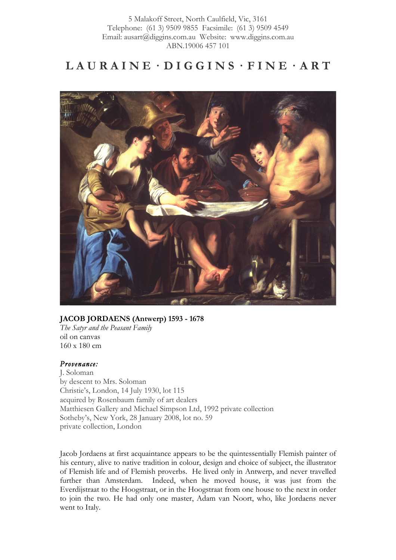# $LAURAINE \cdot DIGGINS \cdot FINE \cdot ART$



### **JACOB JORDAENS (Antwerp) 1593 - 1678**

*The Satyr and the Peasant Family* oil on canvas 160 x 180 cm

### *Provenance:*

J. Soloman by descent to Mrs. Soloman Christie's, London, 14 July 1930, lot 115 acquired by Rosenbaum family of art dealers Matthiesen Gallery and Michael Simpson Ltd, 1992 private collection Sotheby's, New York, 28 January 2008, lot no. 59 private collection, London

Jacob Jordaens at first acquaintance appears to be the quintessentially Flemish painter of his century, alive to native tradition in colour, design and choice of subject, the illustrator of Flemish life and of Flemish proverbs. He lived only in Antwerp, and never travelled further than Amsterdam. Indeed, when he moved house, it was just from the Everdijstraat to the Hoogstraat, or in the Hoogstraat from one house to the next in order to join the two. He had only one master, Adam van Noort, who, like Jordaens never went to Italy.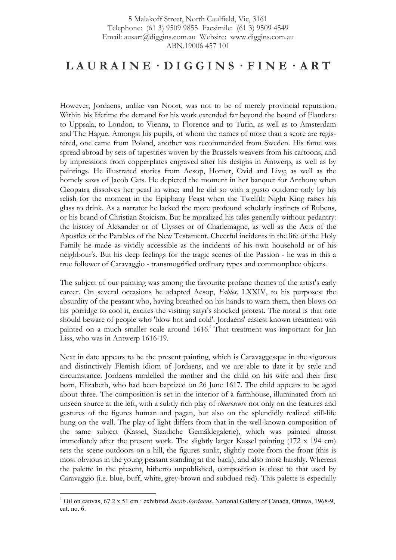### $LAURAINE \cdot DIGGINS \cdot FINE \cdot ART$

However, Jordaens, unlike van Noort, was not to be of merely provincial reputation. Within his lifetime the demand for his work extended far beyond the bound of Flanders: to Uppsala, to London, to Vienna, to Florence and to Turin, as well as to Amsterdam and The Hague. Amongst his pupils, of whom the names of more than a score are registered, one came from Poland, another was recommended from Sweden. His fame was spread abroad by sets of tapestries woven by the Brussels weavers from his cartoons, and by impressions from copperplates engraved after his designs in Antwerp, as well as by paintings. He illustrated stories from Aesop, Homer, Ovid and Livy; as well as the homely saws of Jacob Cats. He depicted the moment in her banquet for Anthony when Cleopatra dissolves her pearl in wine; and he did so with a gusto outdone only by his relish for the moment in the Epiphany Feast when the Twelfth Night King raises his glass to drink. As a narrator he lacked the more profound scholarly instincts of Rubens, or his brand of Christian Stoicism. But he moralized his tales generally without pedantry: the history of Alexander or of Ulysses or of Charlemagne, as well as the Acts of the Apostles or the Parables of the New Testament. Cheerful incidents in the life of the Holy Family he made as vividly accessible as the incidents of his own household or of his neighbour's. But his deep feelings for the tragic scenes of the Passion - he was in this a true follower of Caravaggio - transmogrified ordinary types and commonplace objects.

The subject of our painting was among the favourite profane themes of the artist's early career. On several occasions he adapted Aesop, *Fables,* LXXIV, to his purposes: the absurdity of the peasant who, having breathed on his hands to warn them, then blows on his porridge to cool it, excites the visiting satyr's shocked protest. The moral is that one should beware of people who 'blow hot and cold'. Jordaens' easiest known treatment was painted on a much smaller scale around 1616.<sup>1</sup> That treatment was important for Jan Liss, who was in Antwerp 1616-19.

Next in date appears to be the present painting, which is Caravaggesque in the vigorous and distinctively Flemish idiom of Jordaens, and we are able to date it by style and circumstance. Jordaens modelled the mother and the child on his wife and their first born, Elizabeth, who had been baptized on 26 June 1617. The child appears to be aged about three. The composition is set in the interior of a farmhouse, illuminated from an unseen source at the left, with a subtly rich play of *chiaroscuro* not only on the features and gestures of the figures human and pagan, but also on the splendidly realized still-life hung on the wall. The play of light differs from that in the well-known composition of the same subject (Kassel, Staatliche Gemäldegalerie), which was painted almost immediately after the present work. The slightly larger Kassel painting (172 x 194 cm) sets the scene outdoors on a hill, the figures sunlit, slightly more from the front (this is most obvious in the young peasant standing at the back), and also more harshly. Whereas the palette in the present, hitherto unpublished, composition is close to that used by Caravaggio (i.e. blue, buff, white, grey-brown and subdued red). This palette is especially

 <sup>1</sup> Oil on canvas, 67.2 x 51 cm.: exhibited *Jacob Jordaens*, National Gallery of Canada, Ottawa, 1968-9, cat. no. 6.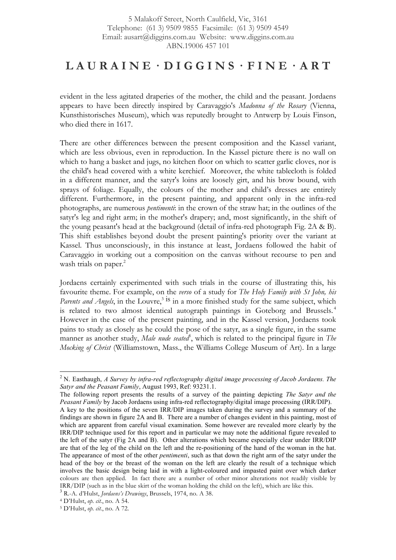## $LAURAINE \cdot DIGGINS \cdot FINE \cdot ART$

evident in the less agitated draperies of the mother, the child and the peasant. Jordaens appears to have been directly inspired by Caravaggio's *Madonna of the Rosary* (Vienna, Kunsthistorisches Museum), which was reputedly brought to Antwerp by Louis Finson, who died there in 1617.

There are other differences between the present composition and the Kassel variant, which are less obvious, even in reproduction. In the Kassel picture there is no wall on which to hang a basket and jugs, no kitchen floor on which to scatter garlic cloves, nor is the child's head covered with a white kerchief. Moreover, the white tablecloth is folded in a different manner, and the satyr's loins are loosely girt, and his brow bound, with sprays of foliage. Equally, the colours of the mother and child's dresses are entirely different. Furthermore, in the present painting, and apparent only in the infra-red photographs, are numerous *pentimenti*: in the crown of the straw hat; in the outlines of the satyr's leg and right arm; in the mother's drapery; and, most significantly, in the shift of the young peasant's head at the background (detail of infra-red photograph Fig. 2A & B). This shift establishes beyond doubt the present painting's priority over the variant at Kassel. Thus unconsciously, in this instance at least, Jordaens followed the habit of Caravaggio in working out a composition on the canvas without recourse to pen and wash trials on paper.<sup>2</sup>

Jordaens certainly experimented with such trials in the course of illustrating this, his favourite theme. For example, on the *verso* of a study for *The Holy Family with St John, his Parents and Angels*, in the Louvre,<sup>3</sup> is in a more finished study for the same subject, which is related to two almost identical autograph paintings in Goteborg and Brussels.<sup>4</sup> However in the case of the present painting, and in the Kassel version, Jordaens took pains to study as closely as he could the pose of the satyr, as a single figure, in the ssame manner as another study, *Male nude seated*<sup>5</sup>, which is related to the principal figure in *The Mocking of Christ* (Williamstown, Mass., the Williams College Museum of Art). In a large

 <sup>2</sup> N. Easthaugh, *A Survey by infra-red reflectography digital image processing of Jacob Jordaens. The Satyr and the Peasant Family*, August 1993, Ref: 93231.1.

The following report presents the results of a survey of the painting depicting *The Satyr and the Peasant Family* by Jacob Jordaens using infra-red reflectography/digital image processing (IRR/DIP).

A key to the positions of the seven IRR/DIP images taken during the survey and a summary of the findings are shown in figure 2A and B. There are a number of changes evident in this painting, most of which are apparent from careful visual examination. Some however are revealed more clearly by the IRR/DIP technique used for this report and in particular we may note the additional figure revealed to the left of the satyr (Fig 2A and B). Other alterations which became especially clear under IRR/DIP are that of the leg of the child on the left and the re-positioning of the hand of the woman in the hat. The appearance of most of the other *pentimenti*, such as that down the right arm of the satyr under the head of the boy or the breast of the woman on the left are clearly the result of a technique which involves the basic design being laid in with a light-coloured and impasted paint over which darker colours are then applied. In fact there are a number of other minor alterations not readily visible by IRR/DIP (such as in the blue skirt of the woman holding the child on the left), which are like this. <sup>3</sup> R.-A. d'Hulst, *Jordaens's Drawings*, Brussels, 1974, no. A 38.

<sup>4</sup> D'Hulst, *op. cit.*, no. A 54.

<sup>5</sup> D'Hulst, *op. cit.*, no. A 72.